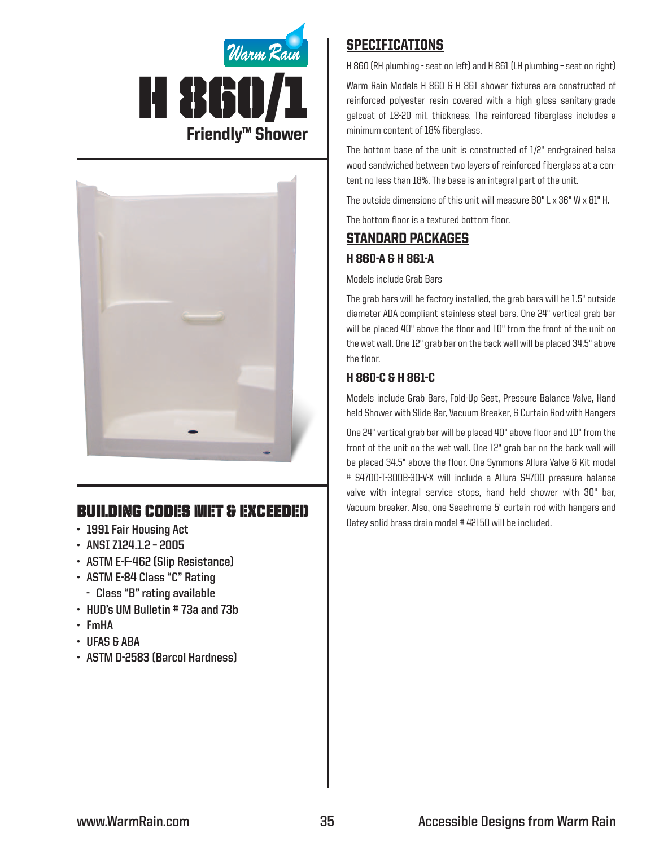



# Building Codes Met & EXCEEDED

- **• 1991 Fair Housing Act**
- **• ANSI Z124.1.2 – 2005**
- **• ASTM E-F-462 (Slip Resistance)**
- **• ASTM E-84 Class "C" Rating**
	- **- Class "B" rating available**
- **• HUD's UM Bulletin # 73a and 73b**
- **• FmHA**
- **• UFAS & ABA**
- **• ASTM D-2583 (Barcol Hardness)**

## **SPECIFICATIONS**

H 860 (RH plumbing - seat on left) and H 861 (LH plumbing – seat on right)

Warm Rain Models H 860 & H 861 shower fixtures are constructed of reinforced polyester resin covered with a high gloss sanitary-grade gelcoat of 18-20 mil. thickness. The reinforced fiberglass includes a minimum content of 18% fiberglass.

The bottom base of the unit is constructed of 1/2" end-grained balsa wood sandwiched between two layers of reinforced fiberglass at a content no less than 18%. The base is an integral part of the unit.

The outside dimensions of this unit will measure 60" L x 36" W x 81" H.

The bottom floor is a textured bottom floor.

# Standard packages H 860-A & H 861-A

#### Models include Grab Bars

The grab bars will be factory installed, the grab bars will be 1.5" outside diameter ADA compliant stainless steel bars. One 24" vertical grab bar will be placed 40" above the floor and 10" from the front of the unit on the wet wall. One 12" grab bar on the back wall will be placed 34.5" above the floor.

### H 860-C & H 861-C

Models include Grab Bars, Fold-Up Seat, Pressure Balance Valve, Hand held Shower with Slide Bar, Vacuum Breaker, & Curtain Rod with Hangers

One 24" vertical grab bar will be placed 40" above floor and 10" from the front of the unit on the wet wall. One 12" grab bar on the back wall will be placed 34.5" above the floor. One Symmons Allura Valve & Kit model # S4700-T-300B-30-V-X will include a Allura S4700 pressure balance valve with integral service stops, hand held shower with 30" bar, Vacuum breaker. Also, one Seachrome 5' curtain rod with hangers and Oatey solid brass drain model # 42150 will be included.